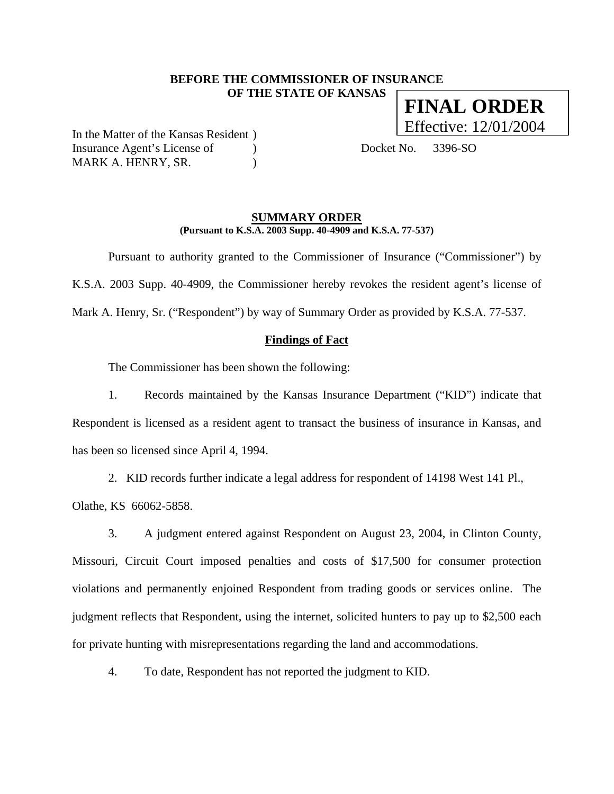# **BEFORE THE COMMISSIONER OF INSURANCE OF THE STATE OF KANSAS FINAL ORDER**

In the Matter of the Kansas Resident ) Insurance Agent's License of (a) Docket No. 3396-SO MARK A. HENRY, SR.

Effective: 12/01/2004

## **SUMMARY ORDER (Pursuant to K.S.A. 2003 Supp. 40-4909 and K.S.A. 77-537)**

 Pursuant to authority granted to the Commissioner of Insurance ("Commissioner") by K.S.A. 2003 Supp. 40-4909, the Commissioner hereby revokes the resident agent's license of Mark A. Henry, Sr. ("Respondent") by way of Summary Order as provided by K.S.A. 77-537.

## **Findings of Fact**

The Commissioner has been shown the following:

1. Records maintained by the Kansas Insurance Department ("KID") indicate that Respondent is licensed as a resident agent to transact the business of insurance in Kansas, and has been so licensed since April 4, 1994.

2. KID records further indicate a legal address for respondent of 14198 West 141 Pl.,

Olathe, KS 66062-5858.

3. A judgment entered against Respondent on August 23, 2004, in Clinton County, Missouri, Circuit Court imposed penalties and costs of \$17,500 for consumer protection violations and permanently enjoined Respondent from trading goods or services online. The judgment reflects that Respondent, using the internet, solicited hunters to pay up to \$2,500 each for private hunting with misrepresentations regarding the land and accommodations.

4. To date, Respondent has not reported the judgment to KID.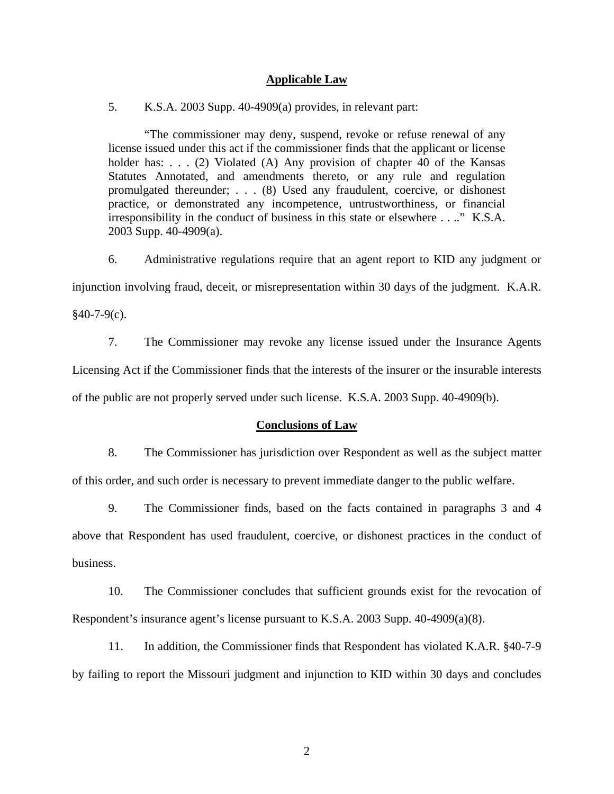### **Applicable Law**

5. K.S.A. 2003 Supp. 40-4909(a) provides, in relevant part:

"The commissioner may deny, suspend, revoke or refuse renewal of any license issued under this act if the commissioner finds that the applicant or license holder has: . . . (2) Violated (A) Any provision of chapter 40 of the Kansas Statutes Annotated, and amendments thereto, or any rule and regulation promulgated thereunder; . . . (8) Used any fraudulent, coercive, or dishonest practice, or demonstrated any incompetence, untrustworthiness, or financial irresponsibility in the conduct of business in this state or elsewhere . . .." K.S.A. 2003 Supp. 40-4909(a).

6. Administrative regulations require that an agent report to KID any judgment or

injunction involving fraud, deceit, or misrepresentation within 30 days of the judgment. K.A.R.

 $§40-7-9(c).$ 

7. The Commissioner may revoke any license issued under the Insurance Agents Licensing Act if the Commissioner finds that the interests of the insurer or the insurable interests of the public are not properly served under such license. K.S.A. 2003 Supp. 40-4909(b).

#### **Conclusions of Law**

8. The Commissioner has jurisdiction over Respondent as well as the subject matter of this order, and such order is necessary to prevent immediate danger to the public welfare.

9. The Commissioner finds, based on the facts contained in paragraphs 3 and 4 above that Respondent has used fraudulent, coercive, or dishonest practices in the conduct of business.

10. The Commissioner concludes that sufficient grounds exist for the revocation of Respondent's insurance agent's license pursuant to K.S.A. 2003 Supp. 40-4909(a)(8).

11. In addition, the Commissioner finds that Respondent has violated K.A.R. §40-7-9 by failing to report the Missouri judgment and injunction to KID within 30 days and concludes

2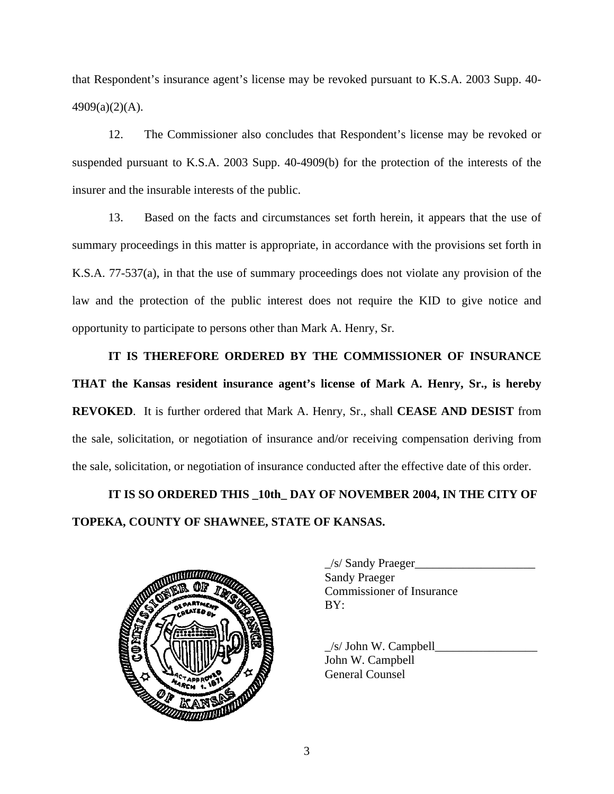that Respondent's insurance agent's license may be revoked pursuant to K.S.A. 2003 Supp. 40- 4909(a)(2)(A).

12. The Commissioner also concludes that Respondent's license may be revoked or suspended pursuant to K.S.A. 2003 Supp. 40-4909(b) for the protection of the interests of the insurer and the insurable interests of the public.

13. Based on the facts and circumstances set forth herein, it appears that the use of summary proceedings in this matter is appropriate, in accordance with the provisions set forth in K.S.A. 77-537(a), in that the use of summary proceedings does not violate any provision of the law and the protection of the public interest does not require the KID to give notice and opportunity to participate to persons other than Mark A. Henry, Sr.

**IT IS THEREFORE ORDERED BY THE COMMISSIONER OF INSURANCE THAT the Kansas resident insurance agent's license of Mark A. Henry, Sr., is hereby REVOKED**. It is further ordered that Mark A. Henry, Sr., shall **CEASE AND DESIST** from the sale, solicitation, or negotiation of insurance and/or receiving compensation deriving from the sale, solicitation, or negotiation of insurance conducted after the effective date of this order.

**IT IS SO ORDERED THIS \_10th\_ DAY OF NOVEMBER 2004, IN THE CITY OF TOPEKA, COUNTY OF SHAWNEE, STATE OF KANSAS.** 



| $\angle$ s/ Sandy Praeger        |
|----------------------------------|
| <b>Sandy Praeger</b>             |
| <b>Commissioner of Insurance</b> |
| BY:                              |
|                                  |

 $/s/$  John W. Campbell John W. Campbell General Counsel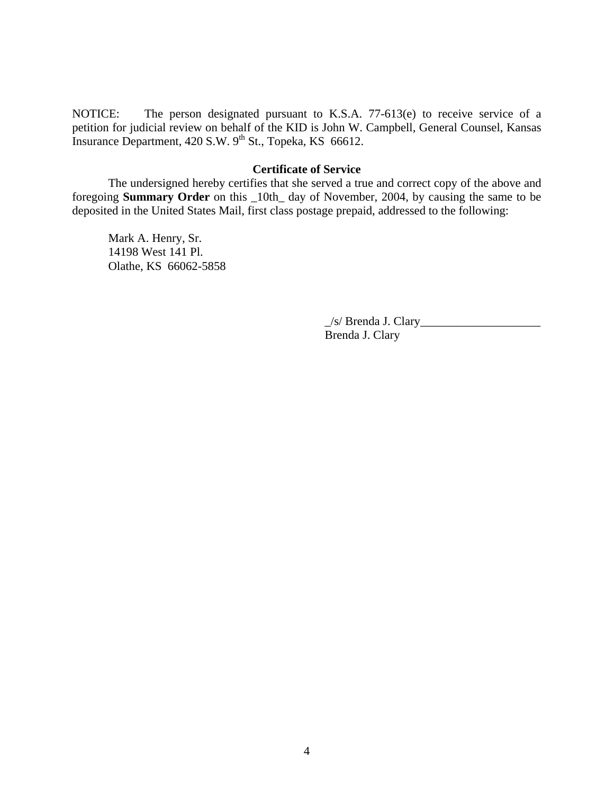NOTICE: The person designated pursuant to K.S.A. 77-613(e) to receive service of a petition for judicial review on behalf of the KID is John W. Campbell, General Counsel, Kansas Insurance Department, 420 S.W. 9<sup>th</sup> St., Topeka, KS 66612.

# **Certificate of Service**

 The undersigned hereby certifies that she served a true and correct copy of the above and foregoing **Summary Order** on this \_10th\_ day of November, 2004, by causing the same to be deposited in the United States Mail, first class postage prepaid, addressed to the following:

 Mark A. Henry, Sr. 14198 West 141 Pl. Olathe, KS 66062-5858

> \_/s/ Brenda J. Clary\_\_\_\_\_\_\_\_\_\_\_\_\_\_\_\_\_\_\_\_ Brenda J. Clary